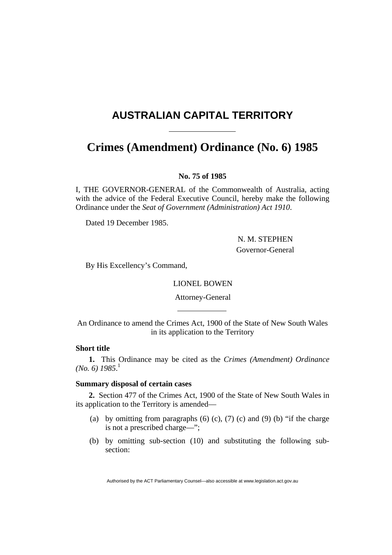# <span id="page-0-0"></span>**AUSTRALIAN CAPITAL TERRITORY**

# **Crimes (Amendment) Ordinance (No. 6) [1985](#page-0-0)**

### **No. 75 of 1985**

I, THE GOVERNOR-GENERAL of the Commonwealth of Australia, acting with the advice of the Federal Executive Council, hereby make the following Ordinance under the *Seat of Government (Administration) Act 1910*.

Dated 19 December 1985.

 N. M. STEPHEN Governor-General

By His Excellency's Command,

#### LIONEL BOWEN

Attorney-General

An Ordinance to amend the Crimes Act, 1900 of the State of New South Wales in its application to the Territory

## **Short title**

**1.** This Ordinance may be cited as the *Crimes (Amendment) Ordinance (No. 6) 1985*. 1

### **Summary disposal of certain cases**

**2.** Section 477 of the Crimes Act, 1900 of the State of New South Wales in its application to the Territory is amended—

- (a) by omitting from paragraphs  $(6)$   $(c)$ ,  $(7)$   $(c)$  and  $(9)$   $(b)$  "if the charge is not a prescribed charge—";
- (b) by omitting sub-section (10) and substituting the following subsection:

Authorised by the ACT Parliamentary Counsel—also accessible at www.legislation.act.gov.au